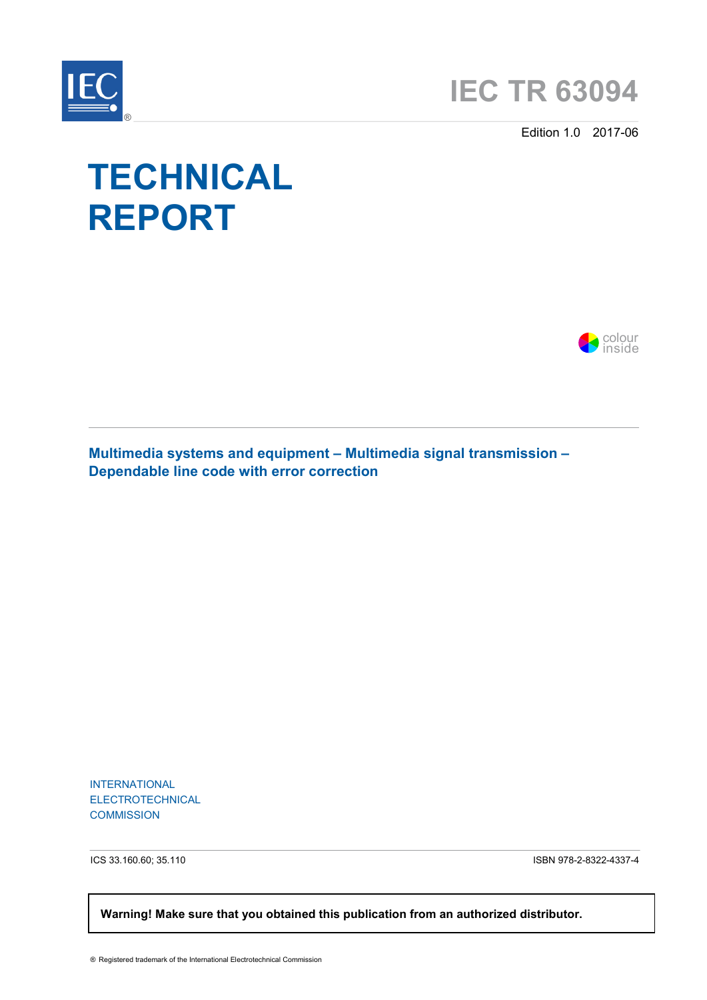

Edition 1.0 2017-06

# **TECHNICAL REPORT**



**Multimedia systems and equipment – Multimedia signal transmission – Dependable line code with error correction**

INTERNATIONAL ELECTROTECHNICAL **COMMISSION** 

ICS 33.160.60; 35.110 ISBN 978-2-8322-4337-4

 **Warning! Make sure that you obtained this publication from an authorized distributor.**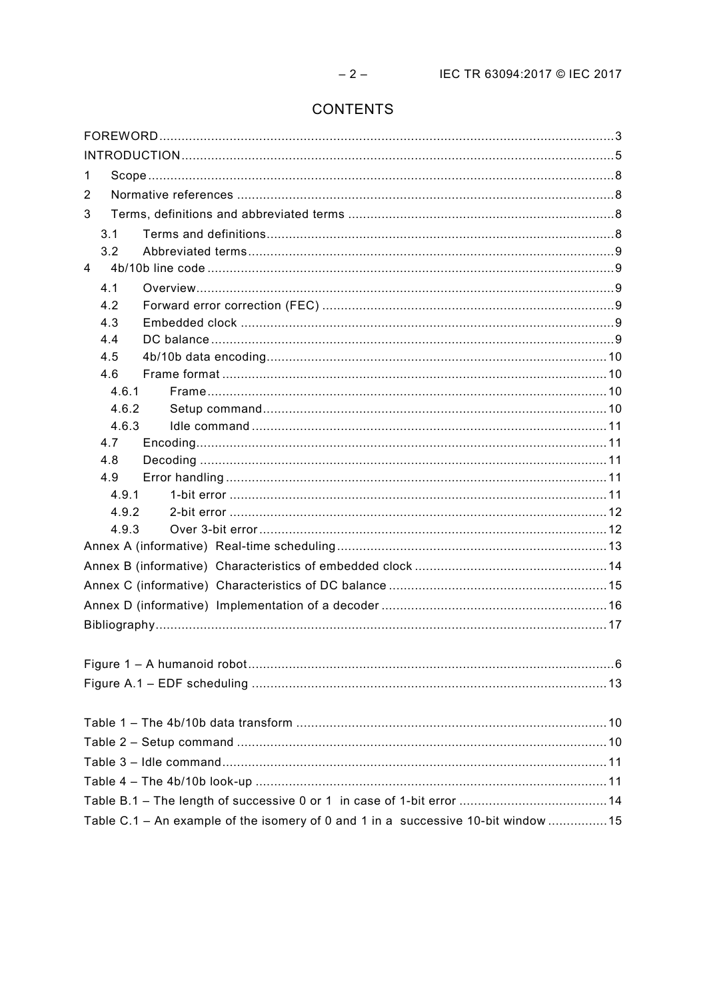# **CONTENTS**

| 1              |                                                                                   |  |  |  |
|----------------|-----------------------------------------------------------------------------------|--|--|--|
| 2              |                                                                                   |  |  |  |
| 3              |                                                                                   |  |  |  |
| 3.1            |                                                                                   |  |  |  |
| 3.2            |                                                                                   |  |  |  |
| $\overline{4}$ |                                                                                   |  |  |  |
| 4.1            |                                                                                   |  |  |  |
| 4.2            |                                                                                   |  |  |  |
| 4.3            |                                                                                   |  |  |  |
| 4.4            |                                                                                   |  |  |  |
| 4.5            |                                                                                   |  |  |  |
| 4.6            |                                                                                   |  |  |  |
| 4.6.1          |                                                                                   |  |  |  |
| 4.6.2          |                                                                                   |  |  |  |
| 4.6.3          |                                                                                   |  |  |  |
| 4.7            |                                                                                   |  |  |  |
| 4.8            |                                                                                   |  |  |  |
| 4.9<br>4.9.1   | 11. http://www.marror.com/marror.com/marror.com/marror.com/marror.com/marror.com  |  |  |  |
| 4.9.2          |                                                                                   |  |  |  |
| 4.9.3          |                                                                                   |  |  |  |
|                |                                                                                   |  |  |  |
|                |                                                                                   |  |  |  |
|                |                                                                                   |  |  |  |
|                |                                                                                   |  |  |  |
|                |                                                                                   |  |  |  |
|                |                                                                                   |  |  |  |
|                |                                                                                   |  |  |  |
|                |                                                                                   |  |  |  |
|                |                                                                                   |  |  |  |
|                |                                                                                   |  |  |  |
|                |                                                                                   |  |  |  |
|                |                                                                                   |  |  |  |
|                |                                                                                   |  |  |  |
|                |                                                                                   |  |  |  |
|                |                                                                                   |  |  |  |
|                | Table C.1 - An example of the isomery of 0 and 1 in a successive 10-bit window 15 |  |  |  |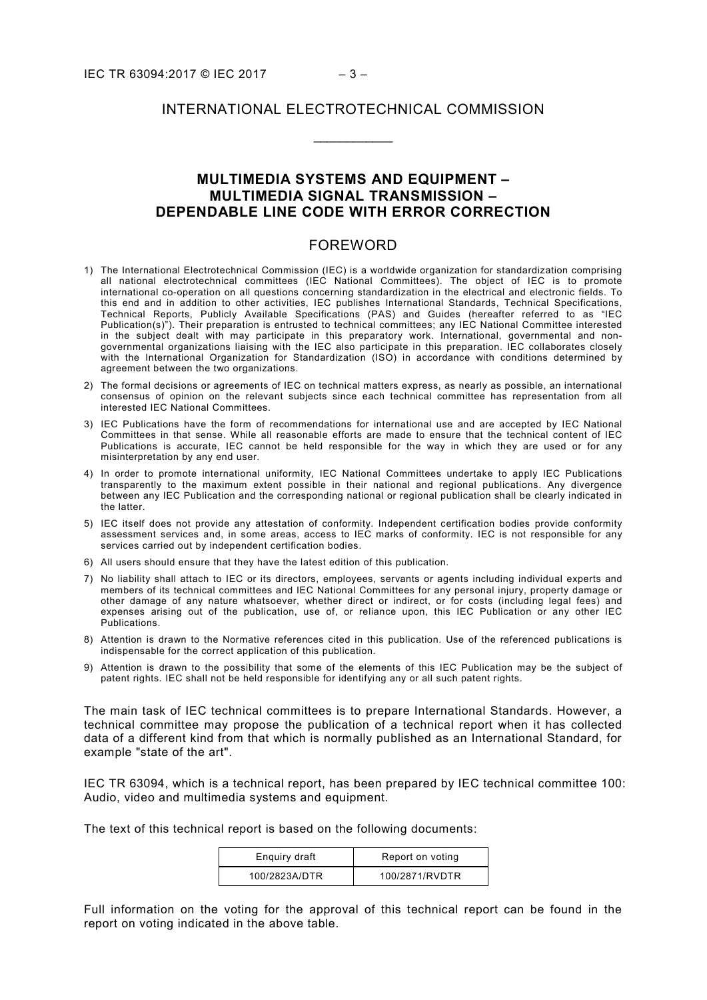### INTERNATIONAL ELECTROTECHNICAL COMMISSION

\_\_\_\_\_\_\_\_\_\_\_\_

# **MULTIMEDIA SYSTEMS AND EQUIPMENT – MULTIMEDIA SIGNAL TRANSMISSION – DEPENDABLE LINE CODE WITH ERROR CORRECTION**

## FOREWORD

- <span id="page-2-0"></span>1) The International Electrotechnical Commission (IEC) is a worldwide organization for standardization comprising all national electrotechnical committees (IEC National Committees). The object of IEC is to promote international co-operation on all questions concerning standardization in the electrical and electronic fields. To this end and in addition to other activities, IEC publishes International Standards, Technical Specifications, Technical Reports, Publicly Available Specifications (PAS) and Guides (hereafter referred to as "IEC Publication(s)"). Their preparation is entrusted to technical committees; any IEC National Committee interested in the subject dealt with may participate in this preparatory work. International, governmental and nongovernmental organizations liaising with the IEC also participate in this preparation. IEC collaborates closely with the International Organization for Standardization (ISO) in accordance with conditions determined by agreement between the two organizations.
- 2) The formal decisions or agreements of IEC on technical matters express, as nearly as possible, an international consensus of opinion on the relevant subjects since each technical committee has representation from all interested IEC National Committees.
- 3) IEC Publications have the form of recommendations for international use and are accepted by IEC National Committees in that sense. While all reasonable efforts are made to ensure that the technical content of IEC Publications is accurate, IEC cannot be held responsible for the way in which they are used or for any misinterpretation by any end user.
- 4) In order to promote international uniformity, IEC National Committees undertake to apply IEC Publications transparently to the maximum extent possible in their national and regional publications. Any divergence between any IEC Publication and the corresponding national or regional publication shall be clearly indicated in the latter.
- 5) IEC itself does not provide any attestation of conformity. Independent certification bodies provide conformity assessment services and, in some areas, access to IEC marks of conformity. IEC is not responsible for any services carried out by independent certification bodies.
- 6) All users should ensure that they have the latest edition of this publication.
- 7) No liability shall attach to IEC or its directors, employees, servants or agents including individual experts and members of its technical committees and IEC National Committees for any personal injury, property damage or other damage of any nature whatsoever, whether direct or indirect, or for costs (including legal fees) and expenses arising out of the publication, use of, or reliance upon, this IEC Publication or any other IEC Publications.
- 8) Attention is drawn to the Normative references cited in this publication. Use of the referenced publications is indispensable for the correct application of this publication.
- 9) Attention is drawn to the possibility that some of the elements of this IEC Publication may be the subject of patent rights. IEC shall not be held responsible for identifying any or all such patent rights.

The main task of IEC technical committees is to prepare International Standards. However, a technical committee may propose the publication of a technical report when it has collected data of a different kind from that which is normally published as an International Standard, for example "state of the art".

IEC TR 63094, which is a technical report, has been prepared by IEC technical committee 100: Audio, video and multimedia systems and equipment.

The text of this technical report is based on the following documents:

| Enquiry draft | Report on voting |
|---------------|------------------|
| 100/2823A/DTR | 100/2871/RVDTR   |

Full information on the voting for the approval of this technical report can be found in the report on voting indicated in the above table.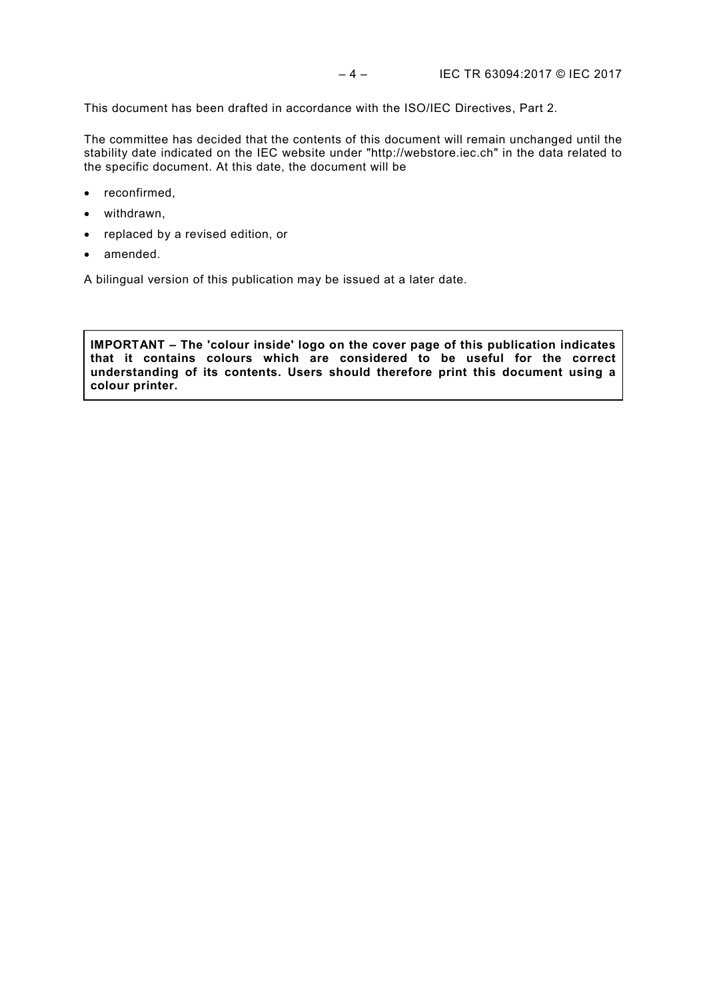This document has been drafted in accordance with the ISO/IEC Directives, Part 2.

The committee has decided that the contents of this document will remain unchanged until the stability date indicated on the IEC website under "http://webstore.iec.ch" in the data related to the specific document. At this date, the document will be

- reconfirmed,
- withdrawn.
- replaced by a revised edition, or
- amended.

A bilingual version of this publication may be issued at a later date.

**IMPORTANT – The 'colour inside' logo on the cover page of this publication indicates that it contains colours which are considered to be useful for the correct understanding of its contents. Users should therefore print this document using a colour printer.**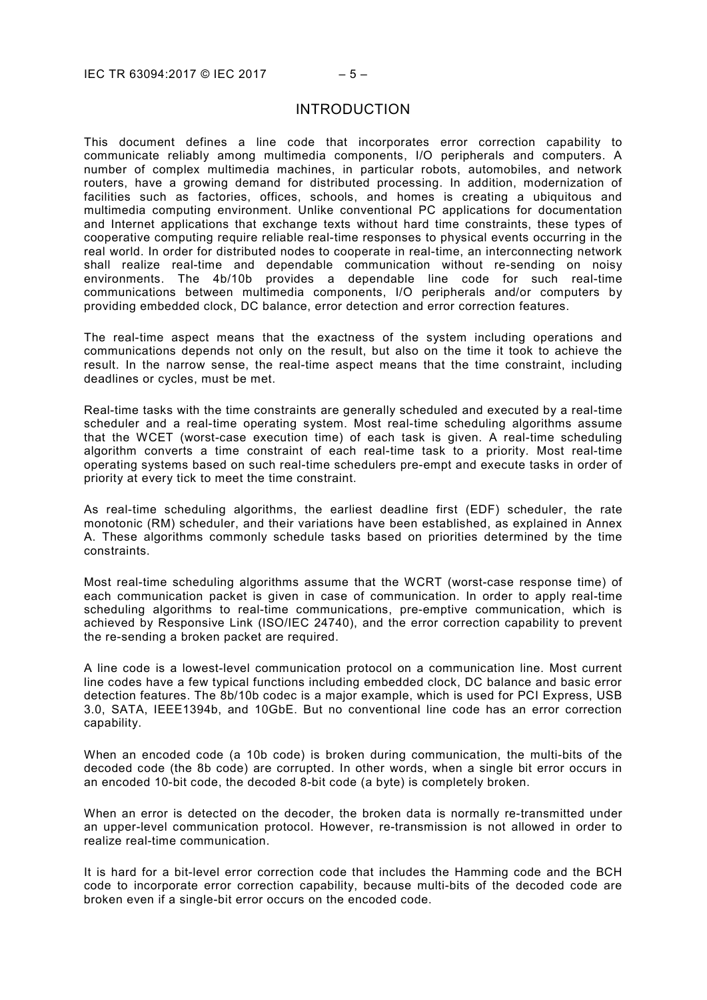## INTRODUCTION

<span id="page-4-0"></span>This document defines a line code that incorporates error correction capability to communicate reliably among multimedia components, I/O peripherals and computers. A number of complex multimedia machines, in particular robots, automobiles, and network routers, have a growing demand for distributed processing. In addition, modernization of facilities such as factories, offices, schools, and homes is creating a ubiquitous and multimedia computing environment. Unlike conventional PC applications for documentation and Internet applications that exchange texts without hard time constraints, these types of cooperative computing require reliable real-time responses to physical events occurring in the real world. In order for distributed nodes to cooperate in real-time, an interconnecting network shall realize real-time and dependable communication without re-sending on noisy environments. The 4b/10b provides a dependable line code for such real-time communications between multimedia components, I/O peripherals and/or computers by providing embedded clock, DC balance, error detection and error correction features.

The real-time aspect means that the exactness of the system including operations and communications depends not only on the result, but also on the time it took to achieve the result. In the narrow sense, the real-time aspect means that the time constraint, including deadlines or cycles, must be met.

Real-time tasks with the time constraints are generally scheduled and executed by a real-time scheduler and a real-time operating system. Most real-time scheduling algorithms assume that the WCET (worst-case execution time) of each task is given. A real-time scheduling algorithm converts a time constraint of each real-time task to a priority. Most real-time operating systems based on such real-time schedulers pre-empt and execute tasks in order of priority at every tick to meet the time constraint.

As real-time scheduling algorithms, the earliest deadline first (EDF) scheduler, the rate monotonic (RM) scheduler, and their variations have been established, as explained in Annex A. These algorithms commonly schedule tasks based on priorities determined by the time constraints.

Most real-time scheduling algorithms assume that the WCRT (worst-case response time) of each communication packet is given in case of communication. In order to apply real-time scheduling algorithms to real-time communications, pre-emptive communication, which is achieved by Responsive Link (ISO/IEC 24740), and the error correction capability to prevent the re-sending a broken packet are required.

A line code is a lowest-level communication protocol on a communication line. Most current line codes have a few typical functions including embedded clock, DC balance and basic error detection features. The 8b/10b codec is a major example, which is used for PCI Express, USB 3.0, SATA, IEEE1394b, and 10GbE. But no conventional line code has an error correction capability.

When an encoded code (a 10b code) is broken during communication, the multi-bits of the decoded code (the 8b code) are corrupted. In other words, when a single bit error occurs in an encoded 10-bit code, the decoded 8-bit code (a byte) is completely broken.

When an error is detected on the decoder, the broken data is normally re-transmitted under an upper-level communication protocol. However, re-transmission is not allowed in order to realize real-time communication.

It is hard for a bit-level error correction code that includes the Hamming code and the BCH code to incorporate error correction capability, because multi-bits of the decoded code are broken even if a single-bit error occurs on the encoded code.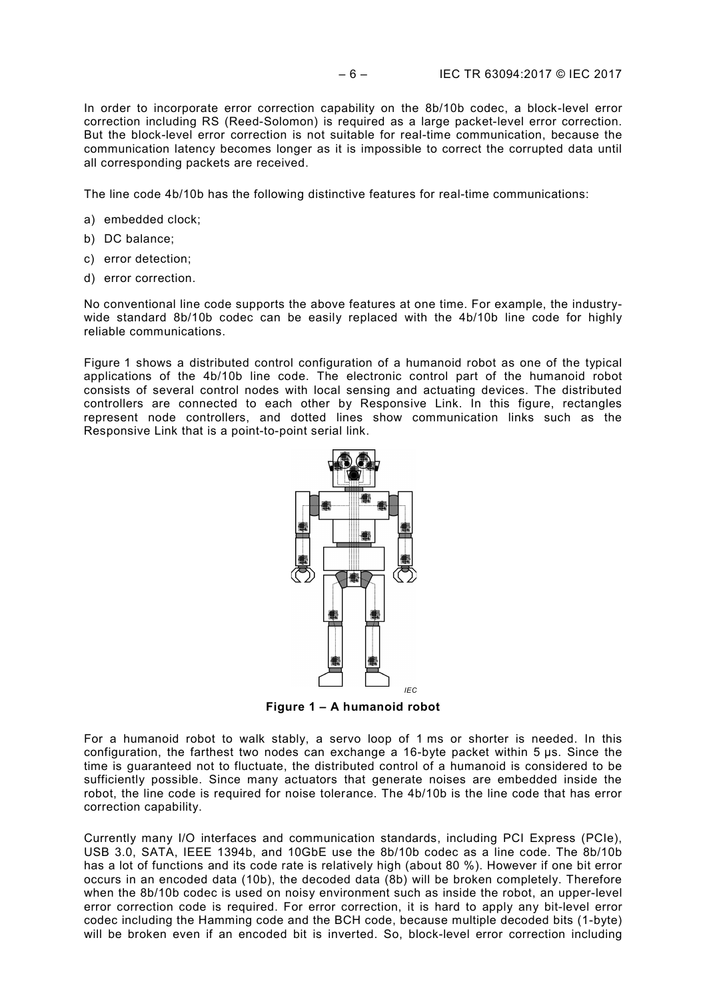In order to incorporate error correction capability on the 8b/10b codec, a block-level error correction including RS (Reed-Solomon) is required as a large packet-level error correction. But the block-level error correction is not suitable for real-time communication, because the communication latency becomes longer as it is impossible to correct the corrupted data until all corresponding packets are received.

The line code 4b/10b has the following distinctive features for real-time communications:

- a) embedded clock;
- b) DC balance;
- c) error detection;
- d) error correction.

No conventional line code supports the above features at one time. For example, the industrywide standard 8b/10b codec can be easily replaced with the 4b/10b line code for highly reliable communications.

[Figure 1](#page-5-0) shows a distributed control configuration of a humanoid robot as one of the typical applications of the 4b/10b line code. The electronic control part of the humanoid robot consists of several control nodes with local sensing and actuating devices. The distributed controllers are connected to each other by Responsive Link. In this figure, rectangles represent node controllers, and dotted lines show communication links such as the Responsive Link that is a point-to-point serial link.



**Figure 1 – A humanoid robot**

<span id="page-5-0"></span>For a humanoid robot to walk stably, a servo loop of 1 ms or shorter is needed. In this configuration, the farthest two nodes can exchange a 16-byte packet within 5 μs. Since the time is guaranteed not to fluctuate, the distributed control of a humanoid is considered to be sufficiently possible. Since many actuators that generate noises are embedded inside the robot, the line code is required for noise tolerance. The 4b/10b is the line code that has error correction capability.

Currently many I/O interfaces and communication standards, including PCI Express (PCIe), USB 3.0, SATA, IEEE 1394b, and 10GbE use the 8b/10b codec as a line code. The 8b/10b has a lot of functions and its code rate is relatively high (about 80 %). However if one bit error occurs in an encoded data (10b), the decoded data (8b) will be broken completely. Therefore when the 8b/10b codec is used on noisy environment such as inside the robot, an upper-level error correction code is required. For error correction, it is hard to apply any bit-level error codec including the Hamming code and the BCH code, because multiple decoded bits (1-byte) will be broken even if an encoded bit is inverted. So, block-level error correction including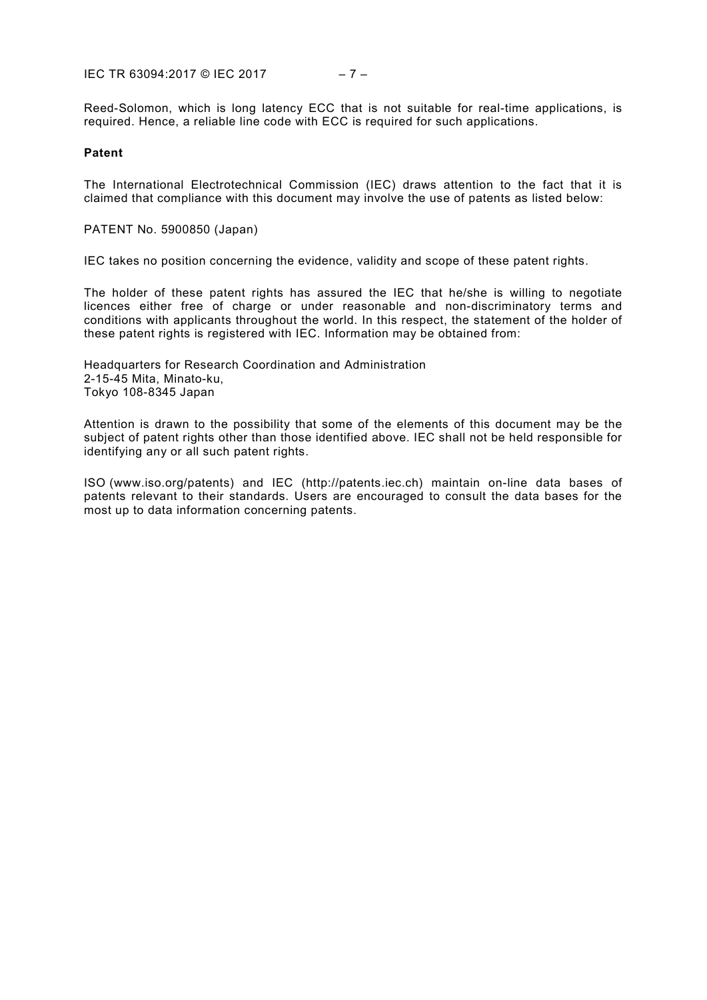IEC TR 63094:2017 © IEC 2017 – 7 –

Reed-Solomon, which is long latency ECC that is not suitable for real-time applications, is required. Hence, a reliable line code with ECC is required for such applications.

#### **Patent**

The International Electrotechnical Commission (IEC) draws attention to the fact that it is claimed that compliance with this document may involve the use of patents as listed below:

PATENT No. 5900850 (Japan)

IEC takes no position concerning the evidence, validity and scope of these patent rights.

The holder of these patent rights has assured the IEC that he/she is willing to negotiate licences either free of charge or under reasonable and non-discriminatory terms and conditions with applicants throughout the world. In this respect, the statement of the holder of these patent rights is registered with IEC. Information may be obtained from:

Headquarters for Research Coordination and Administration 2-15-45 Mita, Minato-ku, Tokyo 108-8345 Japan

Attention is drawn to the possibility that some of the elements of this document may be the subject of patent rights other than those identified above. IEC shall not be held responsible for identifying any or all such patent rights.

ISO (www.iso.org/patents) and IEC (http://patents.iec.ch) maintain on-line data bases of patents relevant to their standards. Users are encouraged to consult the data bases for the most up to data information concerning patents.